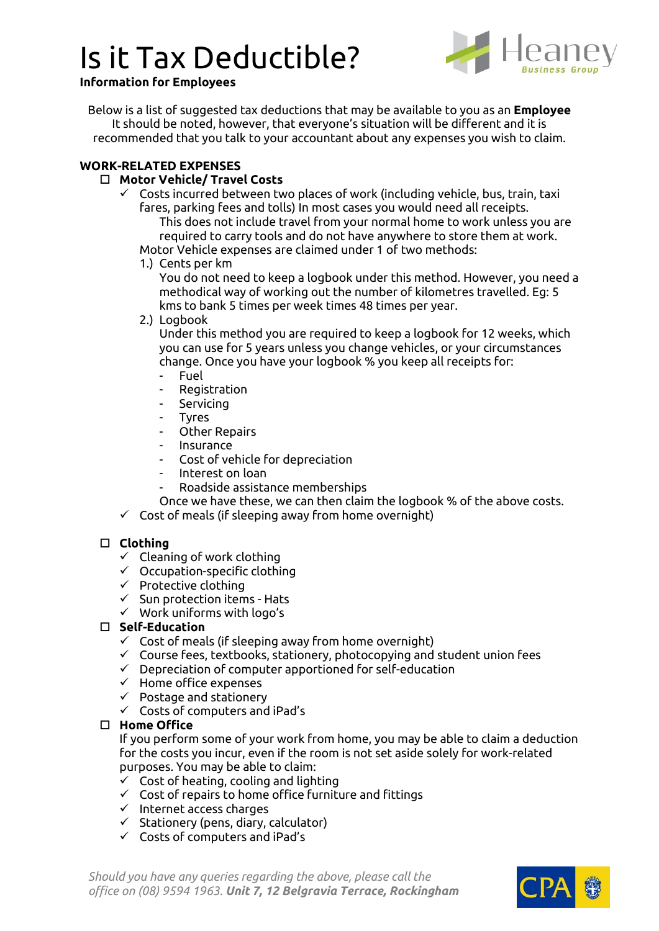# Is it Tax Deductible?



#### **Information for Employees**

Below is a list of suggested tax deductions that may be available to you as an **Employee** It should be noted, however, that everyone's situation will be different and it is recommended that you talk to your accountant about any expenses you wish to claim.

#### **WORK-RELATED EXPENSES**

### **Motor Vehicle/ Travel Costs**

 $\checkmark$  Costs incurred between two places of work (including vehicle, bus, train, taxi fares, parking fees and tolls) In most cases you would need all receipts. This does not include travel from your normal home to work unless you are

required to carry tools and do not have anywhere to store them at work.

Motor Vehicle expenses are claimed under 1 of two methods:

1.) Cents per km

You do not need to keep a logbook under this method. However, you need a methodical way of working out the number of kilometres travelled. Eg: 5 kms to bank 5 times per week times 48 times per year.

2.) Logbook

Under this method you are required to keep a logbook for 12 weeks, which you can use for 5 years unless you change vehicles, or your circumstances change. Once you have your logbook % you keep all receipts for:

- Fuel
- **Registration**
- **Servicing**
- Tyres
- Other Repairs
- **Insurance**
- Cost of vehicle for depreciation
- Interest on loan
- Roadside assistance memberships
- Once we have these, we can then claim the logbook % of the above costs.
- $\checkmark$  Cost of meals (if sleeping away from home overnight)

## **Clothing**

- $\checkmark$  Cleaning of work clothing
- $\checkmark$  Occupation-specific clothing
- $\checkmark$  Protective clothing
- $\checkmark$  Sun protection items Hats
- ✓ Work uniforms with logo's

## **Self-Education**

- $\checkmark$  Cost of meals (if sleeping away from home overnight)
- ✓ Course fees, textbooks, stationery, photocopying and student union fees
- ✓ Depreciation of computer apportioned for self-education
- ✓ Home office expenses
- ✓ Postage and stationery
- $\checkmark$  Costs of computers and iPad's

# **Home Office**

If you perform some of your work from home, you may be able to claim a deduction for the costs you incur, even if the room is not set aside solely for work-related purposes. You may be able to claim:

- $\checkmark$  Cost of heating, cooling and lighting
- $\checkmark$  Cost of repairs to home office furniture and fittings
- ✓ Internet access charges
- $\checkmark$  Stationery (pens, diary, calculator)
- ✓ Costs of computers and iPad's